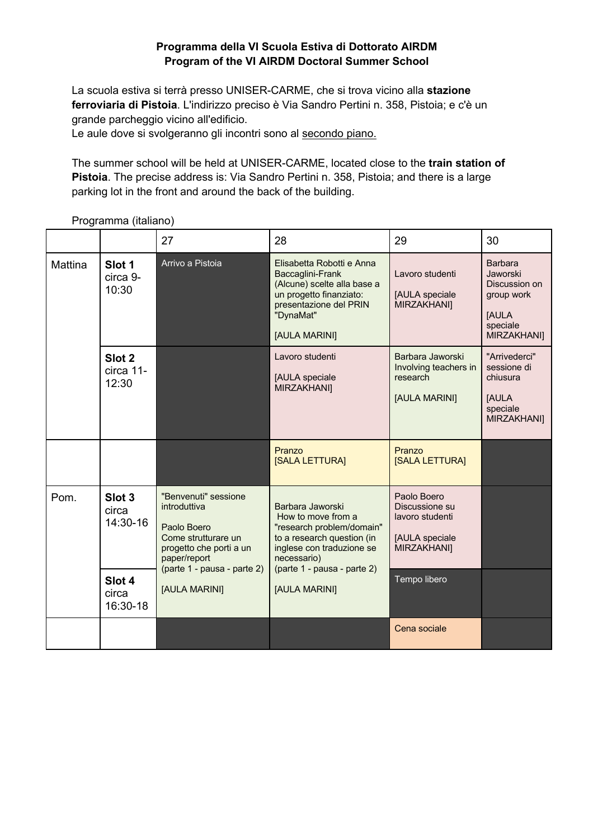## **Programma della VI Scuola Estiva di Dottorato AIRDM Program of the VI AIRDM Doctoral Summer School**

La scuola estiva si terrà presso UNISER-CARME, che si trova vicino alla **stazione ferroviaria di Pistoia**. L'indirizzo preciso è Via Sandro Pertini n. 358, Pistoia; e c'è un grande parcheggio vicino all'edificio.

Le aule dove si svolgeranno gli incontri sono al secondo piano.

The summer school will be held at UNISER-CARME, located close to the **train station of Pistoia**. The precise address is: Via Sandro Pertini n. 358, Pistoia; and there is a large parking lot in the front and around the back of the building.

|                |                                         | 27                                                                                                                                                                    | 28                                                                                                                                                                                            | 29                                                                                      | 30                                                                                                         |
|----------------|-----------------------------------------|-----------------------------------------------------------------------------------------------------------------------------------------------------------------------|-----------------------------------------------------------------------------------------------------------------------------------------------------------------------------------------------|-----------------------------------------------------------------------------------------|------------------------------------------------------------------------------------------------------------|
| <b>Mattina</b> | Slot 1<br>circa 9-<br>10:30             | Arrivo a Pistoia                                                                                                                                                      | Elisabetta Robotti e Anna<br>Baccaglini-Frank<br>(Alcune) scelte alla base a<br>un progetto finanziato:<br>presentazione del PRIN<br>"DynaMat"<br>[AULA MARINI]                               | Lavoro studenti<br>[AULA speciale<br>MIRZAKHANI]                                        | <b>Barbara</b><br>Jaworski<br>Discussion on<br>group work<br><b>JAULA</b><br>speciale<br><b>MIRZAKHANI</b> |
|                | Slot <sub>2</sub><br>circa 11-<br>12:30 |                                                                                                                                                                       | Lavoro studenti<br>[AULA speciale<br><b>MIRZAKHANI</b>                                                                                                                                        | Barbara Jaworski<br>Involving teachers in<br>research<br>[AULA MARINI]                  | "Arrivederci"<br>sessione di<br>chiusura<br><b>JAULA</b><br>speciale<br><b>MIRZAKHANI</b>                  |
|                |                                         |                                                                                                                                                                       | Pranzo<br>[SALA LETTURA]                                                                                                                                                                      | Pranzo<br>[SALA LETTURA]                                                                |                                                                                                            |
| Pom.           | Slot <sub>3</sub><br>circa<br>14:30-16  | "Benvenuti" sessione<br>introduttiva<br>Paolo Boero<br>Come strutturare un<br>progetto che porti a un<br>paper/report<br>(parte 1 - pausa - parte 2)<br>[AULA MARINI] | Barbara Jaworski<br>How to move from a<br>"research problem/domain"<br>to a research question (in<br>inglese con traduzione se<br>necessario)<br>(parte 1 - pausa - parte 2)<br>[AULA MARINI] | Paolo Boero<br>Discussione su<br>lavoro studenti<br>[AULA speciale<br><b>MIRZAKHANI</b> |                                                                                                            |
|                | Slot 4<br>circa<br>16:30-18             |                                                                                                                                                                       |                                                                                                                                                                                               | Tempo libero                                                                            |                                                                                                            |
|                |                                         |                                                                                                                                                                       |                                                                                                                                                                                               | Cena sociale                                                                            |                                                                                                            |

Programma (italiano)